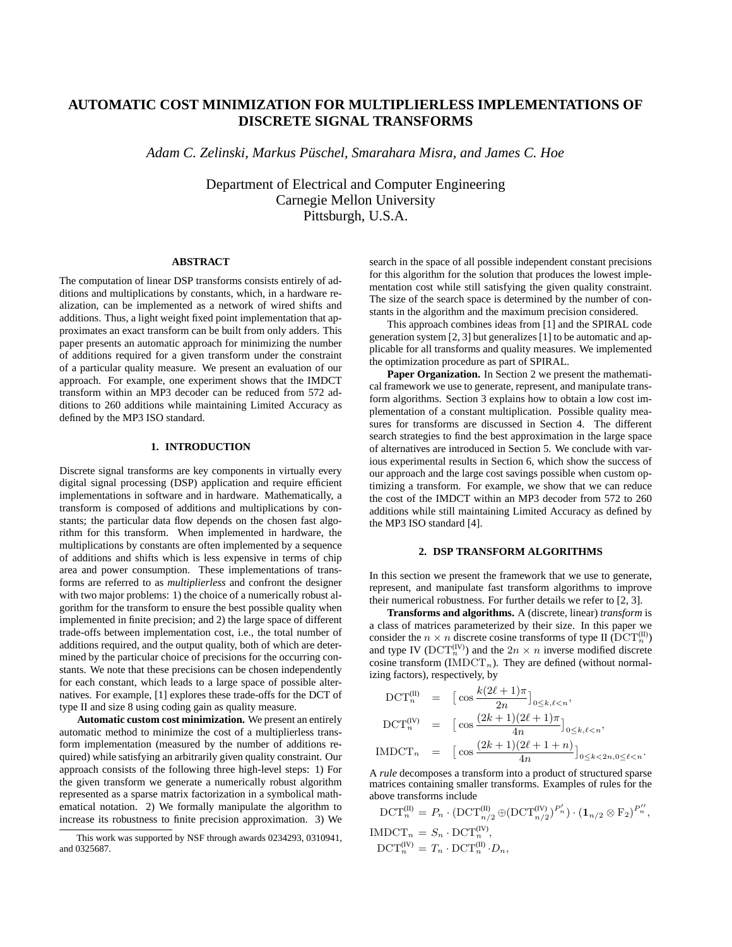# **AUTOMATIC COST MINIMIZATION FOR MULTIPLIERLESS IMPLEMENTATIONS OF DISCRETE SIGNAL TRANSFORMS**

*Adam C. Zelinski, Markus Pusc ¨ hel, Smarahara Misra, and James C. Hoe*

Department of Electrical and Computer Engineering Carnegie Mellon University Pittsburgh, U.S.A.

### **ABSTRACT**

The computation of linear DSP transforms consists entirely of additions and multiplications by constants, which, in a hardware realization, can be implemented as a network of wired shifts and additions. Thus, a light weight fixed point implementation that approximates an exact transform can be built from only adders. This paper presents an automatic approach for minimizing the number of additions required for a given transform under the constraint of a particular quality measure. We present an evaluation of our approach. For example, one experiment shows that the IMDCT transform within an MP3 decoder can be reduced from 572 additions to 260 additions while maintaining Limited Accuracy as defined by the MP3 ISO standard.

# **1. INTRODUCTION**

Discrete signal transforms are key components in virtually every digital signal processing (DSP) application and require efficient implementations in software and in hardware. Mathematically, a transform is composed of additions and multiplications by constants; the particular data flow depends on the chosen fast algorithm for this transform. When implemented in hardware, the multiplications by constants are often implemented by a sequence of additions and shifts which is less expensive in terms of chip area and power consumption. These implementations of transforms are referred to as *multiplierless* and confront the designer with two major problems: 1) the choice of a numerically robust algorithm for the transform to ensure the best possible quality when implemented in finite precision; and 2) the large space of different trade-offs between implementation cost, i.e., the total number of additions required, and the output quality, both of which are determined by the particular choice of precisions for the occurring constants. We note that these precisions can be chosen independently for each constant, which leads to a large space of possible alternatives. For example, [1] explores these trade-offs for the DCT of type II and size 8 using coding gain as quality measure.

**Automatic custom cost minimization.** We present an entirely automatic method to minimize the cost of a multiplierless transform implementation (measured by the number of additions required) while satisfying an arbitrarily given quality constraint. Our approach consists of the following three high-level steps: 1) For the given transform we generate a numerically robust algorithm represented as a sparse matrix factorization in a symbolical mathematical notation. 2) We formally manipulate the algorithm to increase its robustness to finite precision approximation. 3) We

search in the space of all possible independent constant precisions for this algorithm for the solution that produces the lowest implementation cost while still satisfying the given quality constraint. The size of the search space is determined by the number of constants in the algorithm and the maximum precision considered.

This approach combines ideas from [1] and the SPIRAL code generation system [2, 3] but generalizes [1] to be automatic and applicable for all transforms and quality measures. We implemented the optimization procedure as part of SPIRAL.

**Paper Organization.** In Section 2 we present the mathematical framework we use to generate, represent, and manipulate transform algorithms. Section 3 explains how to obtain a low cost implementation of a constant multiplication. Possible quality measures for transforms are discussed in Section 4. The different search strategies to find the best approximation in the large space of alternatives are introduced in Section 5. We conclude with various experimental results in Section 6, which show the success of our approach and the large cost savings possible when custom optimizing a transform. For example, we show that we can reduce the cost of the IMDCT within an MP3 decoder from 572 to 260 additions while still maintaining Limited Accuracy as defined by the MP3 ISO standard [4].

## **2. DSP TRANSFORM ALGORITHMS**

In this section we present the framework that we use to generate, represent, and manipulate fast transform algorithms to improve their numerical robustness. For further details we refer to [2, 3].

**Transforms and algorithms.** A (discrete, linear) *transform* is a class of matrices parameterized by their size. In this paper we consider the  $n \times n$  discrete cosine transforms of type II ( $\mathrm{DCT}_n^{(\text{II})}$ ) and type IV ( $\mathrm{DCT}_n^{\text{(IV)}}$ ) and the  $2n \times n$  inverse modified discrete cosine transform ( $IMDCT_n$ ). They are defined (without normalizing factors), respectively, by

$$
\begin{aligned}\n\text{DCT}_{n}^{(\text{II})} &= \left[ \cos \frac{k(2\ell+1)\pi}{2n} \right]_{0 \le k,\ell < n}, \\
\text{DCT}_{n}^{(\text{IV})} &= \left[ \cos \frac{(2k+1)(2\ell+1)\pi}{4n} \right]_{0 \le k,\ell < n}, \\
\text{IMDCT}_{n} &= \left[ \cos \frac{(2k+1)(2\ell+1+n)}{4n} \right]_{0 \le k < 2n, 0 \le \ell < n}.\n\end{aligned}
$$

A *rule* decomposes a transform into a product of structured sparse matrices containing smaller transforms. Examples of rules for the above transforms include

$$
DCT_n^{(II)} = P_n \cdot (DCT_{n/2}^{(II)} \oplus (DCT_{n/2}^{(IV)})^{P'_n}) \cdot (\mathbf{1}_{n/2} \otimes F_2)^{P''_n},
$$
  
IMDCT<sub>n</sub> =  $S_n \cdot DCT_n^{(IV)}$ ,  

$$
DCT_n^{(IV)} = T_n \cdot DCT_n^{(II)} \cdot D_n,
$$

This work was supported by NSF through awards 0234293, 0310941, and 0325687.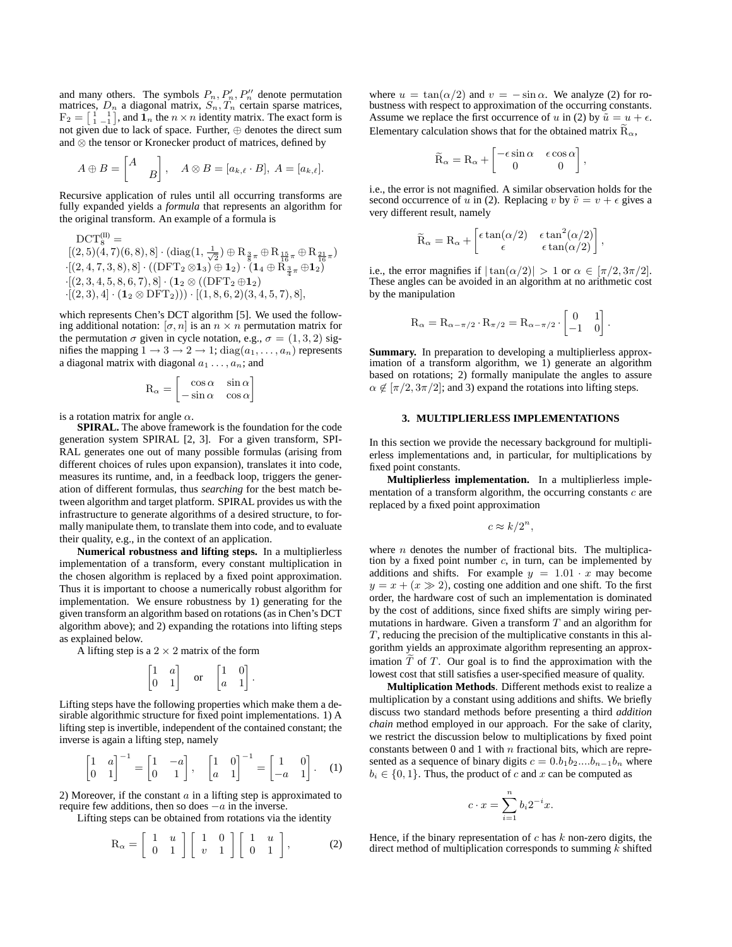and many others. The symbols  $P_n, P'_n, P''_n$  denote permutation matrices,  $D_n$  a diagonal matrix,  $S_n, T_n$  certain sparse matrices,  $F_2 = \begin{bmatrix} 1 & 1 \\ 1 & -1 \end{bmatrix}$ , and  $\mathbf{1}_n$  the  $n \times n$  identity matrix. The exact form is not given due to lack of space. Further, ⊕ denotes the direct sum and ⊗ the tensor or Kronecker product of matrices, defined by

$$
A \oplus B = \begin{bmatrix} A \\ B \end{bmatrix}, A \otimes B = [a_{k,\ell} \cdot B], A = [a_{k,\ell}].
$$

Recursive application of rules until all occurring transforms are fully expanded yields a *formula* that represents an algorithm for the original transform. An example of a formula is

$$
DCT_8^{(II)} = \n\begin{array}{l} [(2,5)(4,7)(6,8),8] \cdot (\mathrm{diag}(1,\frac{1}{\sqrt{2}}) \oplus R_{\frac{3}{8}\pi} \oplus R_{\frac{15}{16}\pi} \oplus R_{\frac{21}{16}\pi})\\ \n\cdot [(2,4,7,3,8),8] \cdot ((DFT_2 \otimes 1_3) \oplus 1_2) \cdot (1_4 \oplus R_{\frac{3}{4}\pi} \oplus 1_2)\\ \n\cdot [(2,3,4,5,8,6,7),8] \cdot (1_2 \otimes ((DFT_2 \oplus 1_2)\\ \n\cdot [(2,3),4] \cdot (1_2 \otimes DFT_2))) \cdot [(1,8,6,2)(3,4,5,7),8],\n\end{array}
$$

which represents Chen's DCT algorithm [5]. We used the following additional notation:  $[\sigma, n]$  is an  $n \times n$  permutation matrix for the permutation  $\sigma$  given in cycle notation, e.g.,  $\sigma = (1, 3, 2)$  signifies the mapping  $1 \rightarrow 3 \rightarrow 2 \rightarrow 1$ ;  $diag(a_1, \ldots, a_n)$  represents a diagonal matrix with diagonal  $a_1 \ldots, a_n$ ; and

$$
R_{\alpha} = \begin{bmatrix} \cos \alpha & \sin \alpha \\ -\sin \alpha & \cos \alpha \end{bmatrix}
$$

is a rotation matrix for angle  $\alpha$ .

**SPIRAL.** The above framework is the foundation for the code generation system SPIRAL [2, 3]. For a given transform, SPI-RAL generates one out of many possible formulas (arising from different choices of rules upon expansion), translates it into code, measures its runtime, and, in a feedback loop, triggers the generation of different formulas, thus *searching* for the best match between algorithm and target platform. SPIRAL provides us with the infrastructure to generate algorithms of a desired structure, to formally manipulate them, to translate them into code, and to evaluate their quality, e.g., in the context of an application.

**Numerical robustness and lifting steps.** In a multiplierless implementation of a transform, every constant multiplication in the chosen algorithm is replaced by a fixed point approximation. Thus it is important to choose a numerically robust algorithm for implementation. We ensure robustness by 1) generating for the given transform an algorithm based on rotations (as in Chen's DCT algorithm above); and 2) expanding the rotations into lifting steps as explained below.

A lifting step is a  $2 \times 2$  matrix of the form

$$
\begin{bmatrix} 1 & a \\ 0 & 1 \end{bmatrix}
$$
 or 
$$
\begin{bmatrix} 1 & 0 \\ a & 1 \end{bmatrix}
$$
.

Lifting steps have the following properties which make them a desirable algorithmic structure for fixed point implementations. 1) A lifting step is invertible, independent of the contained constant; the inverse is again a lifting step, namely

$$
\begin{bmatrix} 1 & a \\ 0 & 1 \end{bmatrix}^{-1} = \begin{bmatrix} 1 & -a \\ 0 & 1 \end{bmatrix}, \quad \begin{bmatrix} 1 & 0 \\ a & 1 \end{bmatrix}^{-1} = \begin{bmatrix} 1 & 0 \\ -a & 1 \end{bmatrix}. \quad (1)
$$

2) Moreover, if the constant  $a$  in a lifting step is approximated to require few additions, then so does  $-a$  in the inverse.

Lifting steps can be obtained from rotations via the identity

$$
R_{\alpha} = \begin{bmatrix} 1 & u \\ 0 & 1 \end{bmatrix} \begin{bmatrix} 1 & 0 \\ v & 1 \end{bmatrix} \begin{bmatrix} 1 & u \\ 0 & 1 \end{bmatrix},
$$
 (2)

where  $u = \tan(\alpha/2)$  and  $v = -\sin \alpha$ . We analyze (2) for robustness with respect to approximation of the occurring constants. Assume we replace the first occurrence of u in (2) by  $\tilde{u} = u + \epsilon$ . Elementary calculation shows that for the obtained matrix  $\overline{R}_{\alpha}$ ,

$$
\widetilde{R}_{\alpha}=R_{\alpha}+\begin{bmatrix}-\epsilon\sin\alpha & \epsilon\cos\alpha\\ 0 & 0\end{bmatrix},
$$

i.e., the error is not magnified. A similar observation holds for the second occurrence of u in (2). Replacing v by  $\tilde{v} = v + \epsilon$  gives a very different result, namely

$$
\widetilde{R}_{\alpha}=R_{\alpha}+\left[\begin{matrix}\epsilon\tan(\alpha/2) & \epsilon\tan^2(\alpha/2)\\ \epsilon & \epsilon\tan(\alpha/2)\end{matrix}\right],
$$

i.e., the error magnifies if  $|\tan(\alpha/2)| > 1$  or  $\alpha \in [\pi/2, 3\pi/2]$ . These angles can be avoided in an algorithm at no arithmetic cost by the manipulation

$$
R_\alpha=R_{\alpha-\pi/2}\cdot R_{\pi/2}=R_{\alpha-\pi/2}\cdot \begin{bmatrix}0&1\\-1&0\end{bmatrix}
$$

.

**Summary.** In preparation to developing a multiplierless approximation of a transform algorithm, we 1) generate an algorithm based on rotations; 2) formally manipulate the angles to assure  $\alpha \notin [\pi/2, 3\pi/2]$ ; and 3) expand the rotations into lifting steps.

#### **3. MULTIPLIERLESS IMPLEMENTATIONS**

In this section we provide the necessary background for multiplierless implementations and, in particular, for multiplications by fixed point constants.

**Multiplierless implementation.** In a multiplierless implementation of a transform algorithm, the occurring constants  $c$  are replaced by a fixed point approximation

$$
c \approx k/2^n,
$$

where  $n$  denotes the number of fractional bits. The multiplication by a fixed point number  $c$ , in turn, can be implemented by additions and shifts. For example  $y = 1.01 \cdot x$  may become  $y = x + (x \gg 2)$ , costing one addition and one shift. To the first order, the hardware cost of such an implementation is dominated by the cost of additions, since fixed shifts are simply wiring permutations in hardware. Given a transform  $T$  and an algorithm for  $T$ , reducing the precision of the multiplicative constants in this algorithm yields an approximate algorithm representing an approximation  $\tilde{T}$  of  $T$ . Our goal is to find the approximation with the lowest cost that still satisfies a user-specified measure of quality.

**Multiplication Methods**. Different methods exist to realize a multiplication by a constant using additions and shifts. We briefly discuss two standard methods before presenting a third *addition chain* method employed in our approach. For the sake of clarity, we restrict the discussion below to multiplications by fixed point constants between 0 and 1 with  $n$  fractional bits, which are represented as a sequence of binary digits  $c = 0.b_1b_2....b_{n-1}b_n$  where  $b_i \in \{0, 1\}$ . Thus, the product of c and x can be computed as

$$
c \cdot x = \sum_{i=1}^{n} b_i 2^{-i} x.
$$

Hence, if the binary representation of  $c$  has  $k$  non-zero digits, the direct method of multiplication corresponds to summing  $\vec{k}$  shifted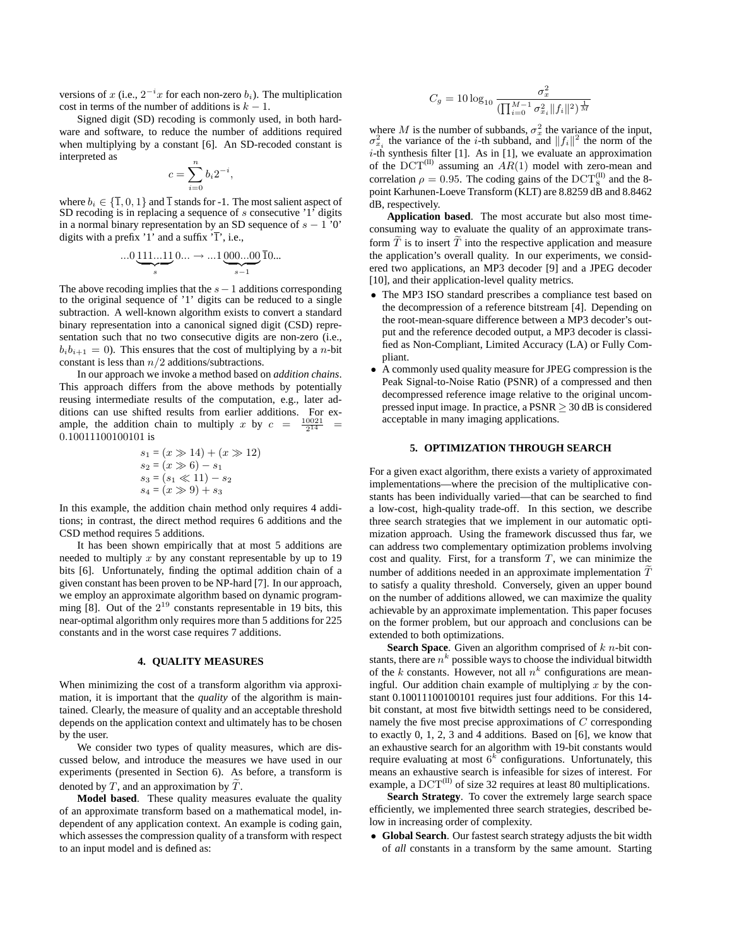versions of x (i.e.,  $2^{-i}x$  for each non-zero  $b_i$ ). The multiplication cost in terms of the number of additions is  $k - 1$ .

Signed digit (SD) recoding is commonly used, in both hardware and software, to reduce the number of additions required when multiplying by a constant [6]. An SD-recoded constant is interpreted as

$$
c = \sum_{i=0}^{n} b_i 2^{-i},
$$

where  $b_i \in \{\overline{1}, 0, 1\}$  and  $\overline{1}$  stands for -1. The most salient aspect of SD recoding is in replacing a sequence of  $s$  consecutive '1' digits in a normal binary representation by an SD sequence of  $s - 1'0'$ digits with a prefix '1' and a suffix  $\overline{1}$ ', i.e.,

$$
\dots 0\underbrace{111\dots 11}_{s}0\dots \to \dots 1\underbrace{000\dots 00}_{s-1}\overline{1}0\dots
$$

The above recoding implies that the  $s-1$  additions corresponding to the original sequence of '1' digits can be reduced to a single subtraction. A well-known algorithm exists to convert a standard binary representation into a canonical signed digit (CSD) representation such that no two consecutive digits are non-zero (i.e.,  $b_i b_{i+1} = 0$ ). This ensures that the cost of multiplying by a *n*-bit constant is less than  $n/2$  additions/subtractions.

In our approach we invoke a method based on *addition chains*. This approach differs from the above methods by potentially reusing intermediate results of the computation, e.g., later additions can use shifted results from earlier additions. For example, the addition chain to multiply x by  $c = \frac{10021}{2^{14}}$ 0.10011100100101 is

$$
s_1 = (x \gg 14) + (x \gg 12)
$$
  
\n
$$
s_2 = (x \gg 6) - s_1
$$
  
\n
$$
s_3 = (s_1 \ll 11) - s_2
$$
  
\n
$$
s_4 = (x \gg 9) + s_3
$$

In this example, the addition chain method only requires 4 additions; in contrast, the direct method requires 6 additions and the CSD method requires 5 additions.

It has been shown empirically that at most 5 additions are needed to multiply  $x$  by any constant representable by up to 19 bits [6]. Unfortunately, finding the optimal addition chain of a given constant has been proven to be NP-hard [7]. In our approach, we employ an approximate algorithm based on dynamic programming  $[8]$ . Out of the  $2^{19}$  constants representable in 19 bits, this near-optimal algorithm only requires more than 5 additions for 225 constants and in the worst case requires 7 additions.

#### **4. QUALITY MEASURES**

When minimizing the cost of a transform algorithm via approximation, it is important that the *quality* of the algorithm is maintained. Clearly, the measure of quality and an acceptable threshold depends on the application context and ultimately has to be chosen by the user.

We consider two types of quality measures, which are discussed below, and introduce the measures we have used in our experiments (presented in Section 6). As before, a transform is denoted by  $T$ , and an approximation by  $T$ .

**Model based**. These quality measures evaluate the quality of an approximate transform based on a mathematical model, independent of any application context. An example is coding gain, which assesses the compression quality of a transform with respect to an input model and is defined as:

$$
C_g = 10\log_{10}\frac{\sigma_x^2}{(\prod_{i=0}^{M-1}\sigma_{x_i}^2||f_i||^2)^{\frac{1}{M}}}
$$

where M is the number of subbands,  $\sigma_x^2$  the variance of the input,  $\sigma_{x_i}^2$  the variance of the *i*-th subband, and  $||f_i||^2$  the norm of the  $i$ -th synthesis filter [1]. As in [1], we evaluate an approximation of the  $DCT^{(II)}$  assuming an  $AR(1)$  model with zero-mean and correlation  $\rho = 0.95$ . The coding gains of the DCT<sup>(II)</sup> and the 8point Karhunen-Loeve Transform (KLT) are 8.8259 dB and 8.8462 dB, respectively.

**Application based**. The most accurate but also most timeconsuming way to evaluate the quality of an approximate transform  $\tilde{T}$  is to insert  $\tilde{T}$  into the respective application and measure the application's overall quality. In our experiments, we considered two applications, an MP3 decoder [9] and a JPEG decoder [10], and their application-level quality metrics.

- The MP3 ISO standard prescribes a compliance test based on the decompression of a reference bitstream [4]. Depending on the root-mean-square difference between a MP3 decoder's output and the reference decoded output, a MP3 decoder is classified as Non-Compliant, Limited Accuracy (LA) or Fully Compliant.
- A commonly used quality measure for JPEG compression is the Peak Signal-to-Noise Ratio (PSNR) of a compressed and then decompressed reference image relative to the original uncompressed input image. In practice, a  $PSNR \geq 30$  dB is considered acceptable in many imaging applications.

## **5. OPTIMIZATION THROUGH SEARCH**

For a given exact algorithm, there exists a variety of approximated implementations—where the precision of the multiplicative constants has been individually varied—that can be searched to find a low-cost, high-quality trade-off. In this section, we describe three search strategies that we implement in our automatic optimization approach. Using the framework discussed thus far, we can address two complementary optimization problems involving cost and quality. First, for a transform  $T$ , we can minimize the number of additions needed in an approximate implementation  $T$ to satisfy a quality threshold. Conversely, given an upper bound on the number of additions allowed, we can maximize the quality achievable by an approximate implementation. This paper focuses on the former problem, but our approach and conclusions can be extended to both optimizations.

**Search Space**. Given an algorithm comprised of k n-bit constants, there are  $n^k$  possible ways to choose the individual bitwidth of the k constants. However, not all  $n^k$  configurations are meaningful. Our addition chain example of multiplying  $x$  by the constant 0.10011100100101 requires just four additions. For this 14 bit constant, at most five bitwidth settings need to be considered, namely the five most precise approximations of C corresponding to exactly 0, 1, 2, 3 and 4 additions. Based on [6], we know that an exhaustive search for an algorithm with 19-bit constants would require evaluating at most  $6^k$  configurations. Unfortunately, this means an exhaustive search is infeasible for sizes of interest. For example, a  $DCT^{(II)}$  of size 32 requires at least 80 multiplications.

**Search Strategy**. To cover the extremely large search space efficiently, we implemented three search strategies, described below in increasing order of complexity.

• **Global Search**. Our fastest search strategy adjusts the bit width of *all* constants in a transform by the same amount. Starting